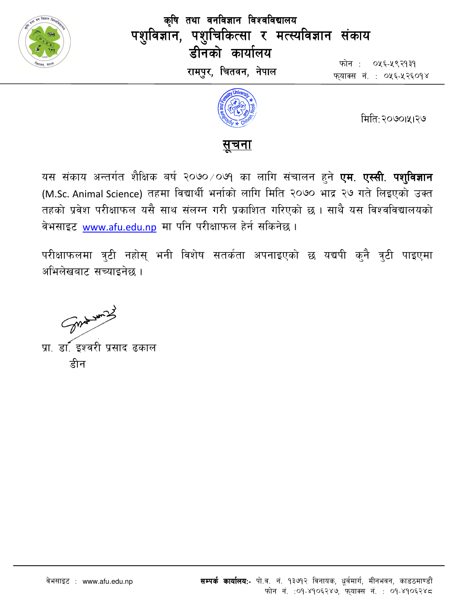

कृषि तथा वनविज्ञान विश्वविद्यालय पशुविज्ञान, पशुचिकित्सा र मत्स्यविज्ञान संकाय डीनको कार्यालय रामपुर, चितवन, नेपाल

फोन : ०५६-५९२१३१ फयाक्स नं. : ०५६-५२६०१४



मिति: २०७०।५१२७

## <u>सचना</u>

यस संकाय अन्तर्गत शैक्षिक बर्ष २०७० ⁄ ०७१ का लागि संचालन हुने <mark>एम. एस्सी. पशुविज्ञान</mark> (M.Sc. Animal Science) तहमा विद्यार्थी भर्नाको लागि मिति २०७० भाद्र २७ गते लिइएको उक्त तहको प्रवेश परीक्षाफल यसै साथ संलग्न गरी प्रकाशित गरिएको छ । साथै यस विश्वविद्यालयको वेभसाइट www.afu.edu.np मा पनि परीक्षाफल हेर्न सकिनेछ।

परीक्षाफलमा त्रुटी नहोस् भनी विशेष सतर्कता अपनाइएको छ यद्यपी कुनै त्रुटी पाइएमा अभिलेखबाट सच्याइनेछ ।

Some word

प्रा. डा. इश्वरी प्रसाद ढकाल हीन